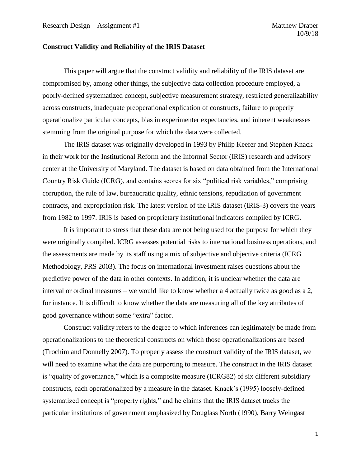## **Construct Validity and Reliability of the IRIS Dataset**

This paper will argue that the construct validity and reliability of the IRIS dataset are compromised by, among other things, the subjective data collection procedure employed, a poorly-defined systematized concept, subjective measurement strategy, restricted generalizability across constructs, inadequate preoperational explication of constructs, failure to properly operationalize particular concepts, bias in experimenter expectancies, and inherent weaknesses stemming from the original purpose for which the data were collected.

The IRIS dataset was originally developed in 1993 by Philip Keefer and Stephen Knack in their work for the Institutional Reform and the Informal Sector (IRIS) research and advisory center at the University of Maryland. The dataset is based on data obtained from the International Country Risk Guide (ICRG), and contains scores for six "political risk variables," comprising corruption, the rule of law, bureaucratic quality, ethnic tensions, repudiation of government contracts, and expropriation risk. The latest version of the IRIS dataset (IRIS-3) covers the years from 1982 to 1997. IRIS is based on proprietary institutional indicators compiled by ICRG.

It is important to stress that these data are not being used for the purpose for which they were originally compiled. ICRG assesses potential risks to international business operations, and the assessments are made by its staff using a mix of subjective and objective criteria (ICRG Methodology, PRS 2003). The focus on international investment raises questions about the predictive power of the data in other contexts. In addition, it is unclear whether the data are interval or ordinal measures – we would like to know whether a 4 actually twice as good as a 2, for instance. It is difficult to know whether the data are measuring all of the key attributes of good governance without some "extra" factor.

Construct validity refers to the degree to which inferences can legitimately be made from operationalizations to the theoretical constructs on which those operationalizations are based (Trochim and Donnelly 2007). To properly assess the construct validity of the IRIS dataset, we will need to examine what the data are purporting to measure. The construct in the IRIS dataset is "quality of governance," which is a composite measure (ICRG82) of six different subsidiary constructs, each operationalized by a measure in the dataset. Knack's (1995) loosely-defined systematized concept is "property rights," and he claims that the IRIS dataset tracks the particular institutions of government emphasized by Douglass North (1990), Barry Weingast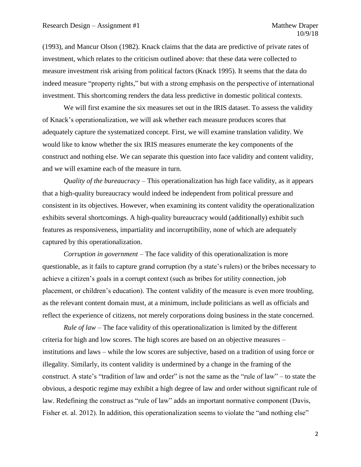(1993), and Mancur Olson (1982). Knack claims that the data are predictive of private rates of investment, which relates to the criticism outlined above: that these data were collected to measure investment risk arising from political factors (Knack 1995). It seems that the data do indeed measure "property rights," but with a strong emphasis on the perspective of international investment. This shortcoming renders the data less predictive in domestic political contexts.

We will first examine the six measures set out in the IRIS dataset. To assess the validity of Knack's operationalization, we will ask whether each measure produces scores that adequately capture the systematized concept. First, we will examine translation validity. We would like to know whether the six IRIS measures enumerate the key components of the construct and nothing else. We can separate this question into face validity and content validity, and we will examine each of the measure in turn.

*Quality of the bureaucracy* – This operationalization has high face validity, as it appears that a high-quality bureaucracy would indeed be independent from political pressure and consistent in its objectives. However, when examining its content validity the operationalization exhibits several shortcomings. A high-quality bureaucracy would (additionally) exhibit such features as responsiveness, impartiality and incorruptibility, none of which are adequately captured by this operationalization.

*Corruption in government –* The face validity of this operationalization is more questionable, as it fails to capture grand corruption (by a state's rulers) or the bribes necessary to achieve a citizen's goals in a corrupt context (such as bribes for utility connection, job placement, or children's education). The content validity of the measure is even more troubling, as the relevant content domain must, at a minimum, include politicians as well as officials and reflect the experience of citizens, not merely corporations doing business in the state concerned.

*Rule of law* – The face validity of this operationalization is limited by the different criteria for high and low scores. The high scores are based on an objective measures – institutions and laws – while the low scores are subjective, based on a tradition of using force or illegality. Similarly, its content validity is undermined by a change in the framing of the construct. A state's "tradition of law and order" is not the same as the "rule of law" – to state the obvious, a despotic regime may exhibit a high degree of law and order without significant rule of law. Redefining the construct as "rule of law" adds an important normative component (Davis, Fisher et. al. 2012). In addition, this operationalization seems to violate the "and nothing else"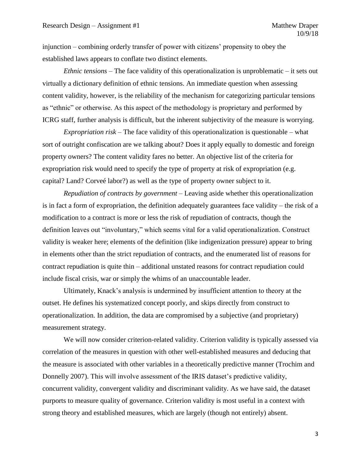injunction – combining orderly transfer of power with citizens' propensity to obey the established laws appears to conflate two distinct elements.

*Ethnic tensions –* The face validity of this operationalization is unproblematic – it sets out virtually a dictionary definition of ethnic tensions. An immediate question when assessing content validity, however, is the reliability of the mechanism for categorizing particular tensions as "ethnic" or otherwise. As this aspect of the methodology is proprietary and performed by ICRG staff, further analysis is difficult, but the inherent subjectivity of the measure is worrying.

*Expropriation risk –* The face validity of this operationalization is questionable – what sort of outright confiscation are we talking about? Does it apply equally to domestic and foreign property owners? The content validity fares no better. An objective list of the criteria for expropriation risk would need to specify the type of property at risk of expropriation (e.g. capital? Land? Corveé labor?) as well as the type of property owner subject to it.

*Repudiation of contracts by government –* Leaving aside whether this operationalization is in fact a form of expropriation, the definition adequately guarantees face validity – the risk of a modification to a contract is more or less the risk of repudiation of contracts, though the definition leaves out "involuntary," which seems vital for a valid operationalization. Construct validity is weaker here; elements of the definition (like indigenization pressure) appear to bring in elements other than the strict repudiation of contracts, and the enumerated list of reasons for contract repudiation is quite thin – additional unstated reasons for contract repudiation could include fiscal crisis, war or simply the whims of an unaccountable leader.

Ultimately, Knack's analysis is undermined by insufficient attention to theory at the outset. He defines his systematized concept poorly, and skips directly from construct to operationalization. In addition, the data are compromised by a subjective (and proprietary) measurement strategy.

We will now consider criterion-related validity. Criterion validity is typically assessed via correlation of the measures in question with other well-established measures and deducing that the measure is associated with other variables in a theoretically predictive manner (Trochim and Donnelly 2007). This will involve assessment of the IRIS dataset's predictive validity, concurrent validity, convergent validity and discriminant validity. As we have said, the dataset purports to measure quality of governance. Criterion validity is most useful in a context with strong theory and established measures, which are largely (though not entirely) absent.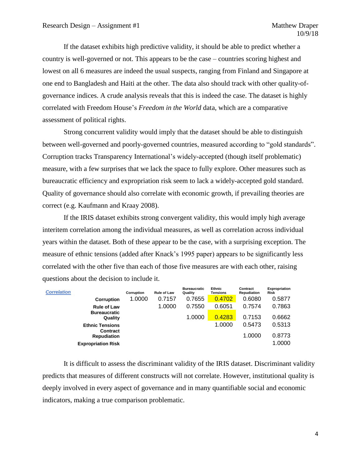If the dataset exhibits high predictive validity, it should be able to predict whether a country is well-governed or not. This appears to be the case – countries scoring highest and lowest on all 6 measures are indeed the usual suspects, ranging from Finland and Singapore at one end to Bangladesh and Haiti at the other. The data also should track with other quality-ofgovernance indices. A crude analysis reveals that this is indeed the case. The dataset is highly correlated with Freedom House's *Freedom in the World* data, which are a comparative assessment of political rights.

Strong concurrent validity would imply that the dataset should be able to distinguish between well-governed and poorly-governed countries, measured according to "gold standards". Corruption tracks Transparency International's widely-accepted (though itself problematic) measure, with a few surprises that we lack the space to fully explore. Other measures such as bureaucratic efficiency and expropriation risk seem to lack a widely-accepted gold standard. Quality of governance should also correlate with economic growth, if prevailing theories are correct (e.g. Kaufmann and Kraay 2008).

If the IRIS dataset exhibits strong convergent validity, this would imply high average interitem correlation among the individual measures, as well as correlation across individual years within the dataset. Both of these appear to be the case, with a surprising exception. The measure of ethnic tensions (added after Knack's 1995 paper) appears to be significantly less correlated with the other five than each of those five measures are with each other, raising questions about the decision to include it.

| Corruption | <b>Rule of Law</b> | <b>Bureaucratic</b><br>Quality | Ethnic<br>Tensions | Contract<br>Repudiation | <b>Expropriation</b><br>Risk |
|------------|--------------------|--------------------------------|--------------------|-------------------------|------------------------------|
| 1.0000     | 0.7157             | 0.7655                         | 0.4702             | 0.6080                  | 0.5877                       |
|            | 1.0000             | 0.7550                         | 0.6051             | 0.7574                  | 0.7863                       |
|            |                    | 1.0000                         | 0.4283             | 0.7153                  | 0.6662                       |
|            |                    |                                | 1.0000             | 0.5473                  | 0.5313                       |
|            |                    |                                |                    | 1.0000                  | 0.8773                       |
|            |                    |                                |                    |                         | 1.0000                       |
|            |                    |                                |                    |                         |                              |

It is difficult to assess the discriminant validity of the IRIS dataset. Discriminant validity predicts that measures of different constructs will not correlate. However, institutional quality is deeply involved in every aspect of governance and in many quantifiable social and economic indicators, making a true comparison problematic.